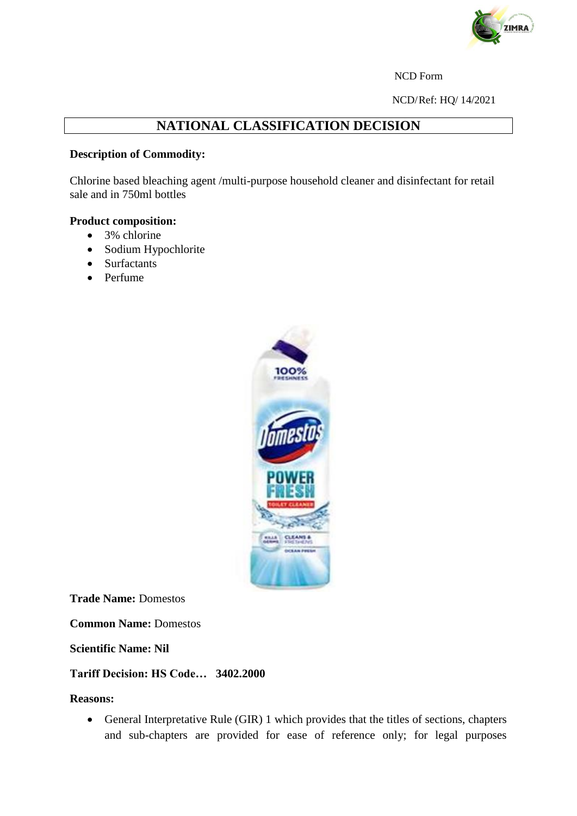

NCD Form

NCD/Ref: HQ/ 14/2021

# **NATIONAL CLASSIFICATION DECISION**

## **Description of Commodity:**

Chlorine based bleaching agent /multi-purpose household cleaner and disinfectant for retail sale and in 750ml bottles

### **Product composition:**

- 3% chlorine
- Sodium Hypochlorite
- Surfactants
- Perfume



**Trade Name:** Domestos

**Common Name:** Domestos

**Scientific Name: Nil**

### **Tariff Decision: HS Code… 3402.2000**

#### **Reasons:**

 General Interpretative Rule (GIR) 1 which provides that the titles of sections, chapters and sub-chapters are provided for ease of reference only; for legal purposes